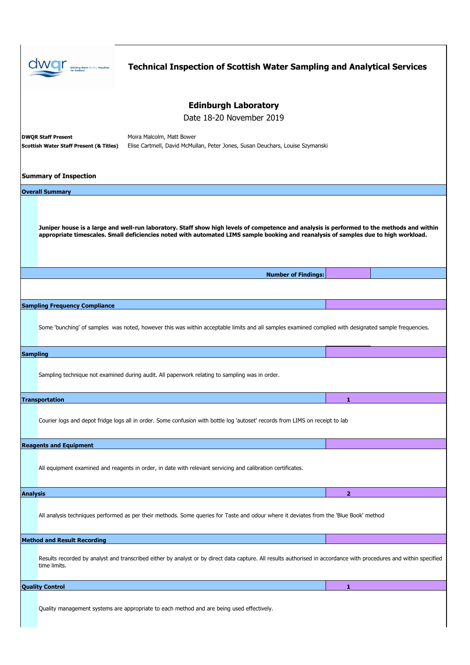|                                                                                                                                                                                                                                                                                   |                                                                                                                                     | <b>Technical Inspection of Scottish Water Sampling and Analytical Services</b>                                                                                     |                |  |  |
|-----------------------------------------------------------------------------------------------------------------------------------------------------------------------------------------------------------------------------------------------------------------------------------|-------------------------------------------------------------------------------------------------------------------------------------|--------------------------------------------------------------------------------------------------------------------------------------------------------------------|----------------|--|--|
|                                                                                                                                                                                                                                                                                   | <b>Edinburgh Laboratory</b>                                                                                                         |                                                                                                                                                                    |                |  |  |
|                                                                                                                                                                                                                                                                                   | Date 18-20 November 2019                                                                                                            |                                                                                                                                                                    |                |  |  |
|                                                                                                                                                                                                                                                                                   | <b>DWOR Staff Present</b><br>Moira Malcolm, Matt Bower                                                                              |                                                                                                                                                                    |                |  |  |
|                                                                                                                                                                                                                                                                                   | Elise Cartmell, David McMullan, Peter Jones, Susan Deuchars, Louise Szymanski<br><b>Scottish Water Staff Present (&amp; Titles)</b> |                                                                                                                                                                    |                |  |  |
|                                                                                                                                                                                                                                                                                   | <b>Summary of Inspection</b>                                                                                                        |                                                                                                                                                                    |                |  |  |
| <b>Overall Summary</b>                                                                                                                                                                                                                                                            |                                                                                                                                     |                                                                                                                                                                    |                |  |  |
| Juniper house is a large and well-run laboratory. Staff show high levels of competence and analysis is performed to the methods and within<br>appropriate timescales. Small deficiencies noted with automated LIMS sample booking and reanalysis of samples due to high workload. |                                                                                                                                     |                                                                                                                                                                    |                |  |  |
|                                                                                                                                                                                                                                                                                   |                                                                                                                                     | <b>Number of Findings:</b>                                                                                                                                         |                |  |  |
|                                                                                                                                                                                                                                                                                   |                                                                                                                                     |                                                                                                                                                                    |                |  |  |
|                                                                                                                                                                                                                                                                                   | <b>Sampling Frequency Compliance</b>                                                                                                |                                                                                                                                                                    |                |  |  |
|                                                                                                                                                                                                                                                                                   |                                                                                                                                     | Some 'bunching' of samples was noted, however this was within acceptable limits and all samples examined complied with designated sample frequencies.              |                |  |  |
| <b>Sampling</b>                                                                                                                                                                                                                                                                   |                                                                                                                                     |                                                                                                                                                                    |                |  |  |
|                                                                                                                                                                                                                                                                                   |                                                                                                                                     | Sampling technique not examined during audit. All paperwork relating to sampling was in order.                                                                     |                |  |  |
|                                                                                                                                                                                                                                                                                   | <b>Transportation</b>                                                                                                               |                                                                                                                                                                    |                |  |  |
|                                                                                                                                                                                                                                                                                   |                                                                                                                                     | Courier logs and depot fridge logs all in order. Some confusion with bottle log 'autoset' records from LIMS on receipt to lab                                      |                |  |  |
|                                                                                                                                                                                                                                                                                   | <b>Reagents and Equipment</b>                                                                                                       |                                                                                                                                                                    |                |  |  |
|                                                                                                                                                                                                                                                                                   |                                                                                                                                     | All equipment examined and reagents in order, in date with relevant servicing and calibration certificates.                                                        |                |  |  |
| <b>Analysis</b>                                                                                                                                                                                                                                                                   |                                                                                                                                     |                                                                                                                                                                    | $\overline{2}$ |  |  |
|                                                                                                                                                                                                                                                                                   |                                                                                                                                     | All analysis techniques performed as per their methods. Some queries for Taste and odour where it deviates from the 'Blue Book' method                             |                |  |  |
|                                                                                                                                                                                                                                                                                   | <b>Method and Result Recording</b>                                                                                                  |                                                                                                                                                                    |                |  |  |
|                                                                                                                                                                                                                                                                                   | time limits.                                                                                                                        | Results recorded by analyst and transcribed either by analyst or by direct data capture. All results authorised in accordance with procedures and within specified |                |  |  |
|                                                                                                                                                                                                                                                                                   | <b>Quality Control</b>                                                                                                              |                                                                                                                                                                    | 1              |  |  |
|                                                                                                                                                                                                                                                                                   |                                                                                                                                     | Quality management systems are appropriate to each method and are being used effectively.                                                                          |                |  |  |